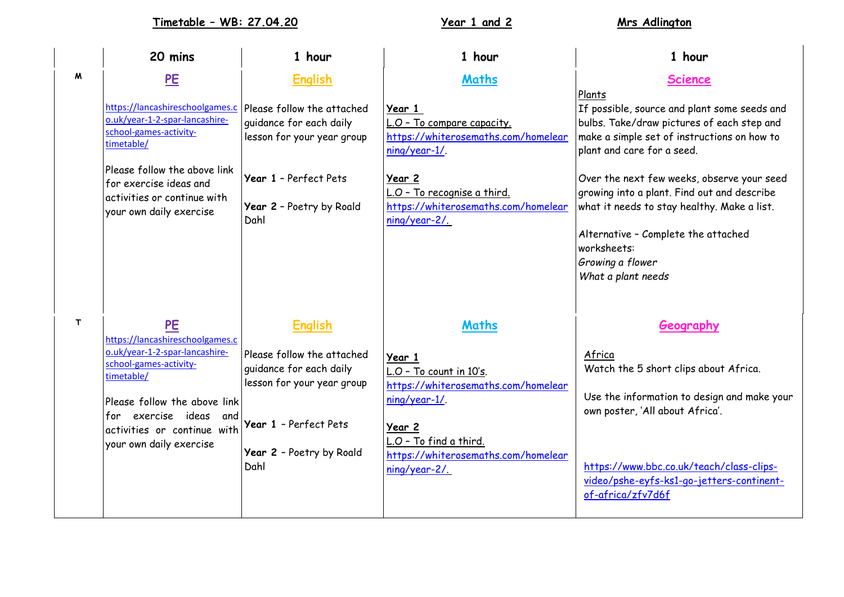**Timetable – WB: 27.04.20 Year 1 and 2 Mrs Adlington**

|              | 20 mins                                                                                                                                                             | 1 hour                                                                                                       | 1 hour                                                                                                 | 1 hour                                                                                                                                                                                                                          |
|--------------|---------------------------------------------------------------------------------------------------------------------------------------------------------------------|--------------------------------------------------------------------------------------------------------------|--------------------------------------------------------------------------------------------------------|---------------------------------------------------------------------------------------------------------------------------------------------------------------------------------------------------------------------------------|
| M            | PE                                                                                                                                                                  | <b>English</b>                                                                                               | <b>Maths</b>                                                                                           | <b>Science</b>                                                                                                                                                                                                                  |
|              | https://lancashireschoolgames.c<br>o.uk/year-1-2-spar-lancashire-<br>school-games-activity-<br>timetable/<br>Please follow the above link<br>for exercise ideas and | Please follow the attached<br>guidance for each daily<br>lesson for your year group<br>Year 1 - Perfect Pets | Year 1<br>L.O - To compare capacity.<br>https://whiterosemaths.com/homelear<br>ning/year-1/.<br>Year 2 | Plants<br>If possible, source and plant some seeds and<br>bulbs. Take/draw pictures of each step and<br>make a simple set of instructions on how to<br>plant and care for a seed.<br>Over the next few weeks, observe your seed |
|              | activities or continue with<br>your own daily exercise                                                                                                              | Year 2 - Poetry by Roald<br>Dahl                                                                             | L.O - To recognise a third.<br>https://whiterosemaths.com/homelear<br>$ning/year-2/$                   | growing into a plant. Find out and describe<br>what it needs to stay healthy. Make a list.<br>Alternative - Complete the attached<br>worksheets:<br>Growing a flower<br>What a plant needs                                      |
| $\mathsf{T}$ | PE<br>https://lancashireschoolgames.c                                                                                                                               | <b>English</b>                                                                                               | <b>Maths</b>                                                                                           | Geography                                                                                                                                                                                                                       |
|              | o.uk/year-1-2-spar-lancashire-<br>school-games-activity-<br>timetable/<br>Please follow the above link<br>for exercise ideas and<br>activities or continue with     | Please follow the attached<br>guidance for each daily<br>lesson for your year group<br>Year 1 - Perfect Pets | Year 1<br>L.O - To count in 10's.<br>https://whiterosemaths.com/homelear<br>ning/year-1/<br>Year 2     | Africa<br>Watch the 5 short clips about Africa.<br>Use the information to design and make your<br>own poster, 'All about Africa'.                                                                                               |
|              | your own daily exercise                                                                                                                                             | Year 2 - Poetry by Roald<br>Dahl                                                                             | L.O - To find a third.<br>https://whiterosemaths.com/homelear<br>ning/year-2/                          | https://www.bbc.co.uk/teach/class-clips-<br>video/pshe-eyfs-ks1-go-jetters-continent-<br>of-africa/zfv7d6f                                                                                                                      |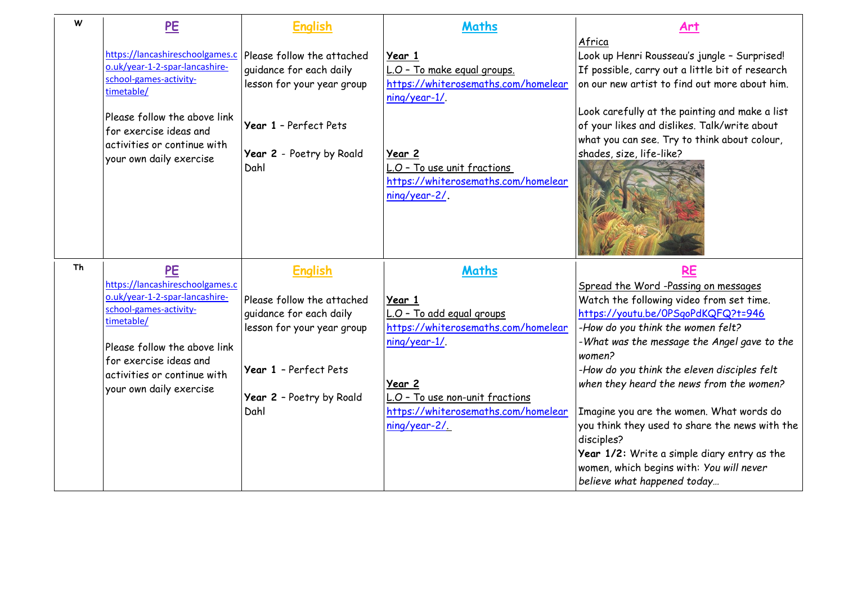| W  | PE                                                                                                                                                                                                                            | <b>English</b>                                                                                               | <b>Maths</b>                                                                                         | Art                                                                                                                                                                                                                                                                                                             |
|----|-------------------------------------------------------------------------------------------------------------------------------------------------------------------------------------------------------------------------------|--------------------------------------------------------------------------------------------------------------|------------------------------------------------------------------------------------------------------|-----------------------------------------------------------------------------------------------------------------------------------------------------------------------------------------------------------------------------------------------------------------------------------------------------------------|
|    | https://lancashireschoolgames.c<br>o.uk/year-1-2-spar-lancashire-<br>school-games-activity-<br>timetable/<br>Please follow the above link<br>for exercise ideas and                                                           | Please follow the attached<br>quidance for each daily<br>lesson for your year group<br>Year 1 - Perfect Pets | Year 1<br>L.O - To make equal groups.<br>https://whiterosemaths.com/homelear<br>ning/year-1/.        | Africa<br>Look up Henri Rousseau's jungle - Surprised!<br>If possible, carry out a little bit of research<br>on our new artist to find out more about him.<br>Look carefully at the painting and make a list<br>of your likes and dislikes. Talk/write about<br>what you can see. Try to think about colour,    |
|    | activities or continue with<br>your own daily exercise                                                                                                                                                                        | Year 2 - Poetry by Roald<br>Dahl                                                                             | Year 2<br>L.O - To use unit fractions<br>https://whiterosemaths.com/homelear<br>ning/year-2/.        | shades, size, life-like?                                                                                                                                                                                                                                                                                        |
| Th | PE                                                                                                                                                                                                                            | <b>English</b>                                                                                               | <b>Maths</b>                                                                                         | <b>RE</b>                                                                                                                                                                                                                                                                                                       |
|    | https://lancashireschoolgames.c<br>o.uk/year-1-2-spar-lancashire-<br>school-games-activity-<br>timetable/<br>Please follow the above link<br>for exercise ideas and<br>activities or continue with<br>your own daily exercise | Please follow the attached<br>guidance for each daily<br>lesson for your year group<br>Year 1 - Perfect Pets | Year 1<br>L.O - To add equal groups<br>https://whiterosemaths.com/homelear<br>ning/year-1/<br>Year 2 | Spread the Word -Passing on messages<br>Watch the following video from set time.<br>https://youtu.be/0PSgoPdKQFQ?t=946<br>-How do you think the women felt?<br>-What was the message the Angel gave to the<br>women?<br>-How do you think the eleven disciples felt<br>when they heard the news from the women? |
|    |                                                                                                                                                                                                                               | Year 2 - Poetry by Roald<br>Dahl                                                                             | L.O - To use non-unit fractions<br>https://whiterosemaths.com/homelear<br>ning/year-2/               | Imagine you are the women. What words do<br>you think they used to share the news with the<br>disciples?<br>Year 1/2: Write a simple diary entry as the<br>women, which begins with: You will never<br>believe what happened today                                                                              |